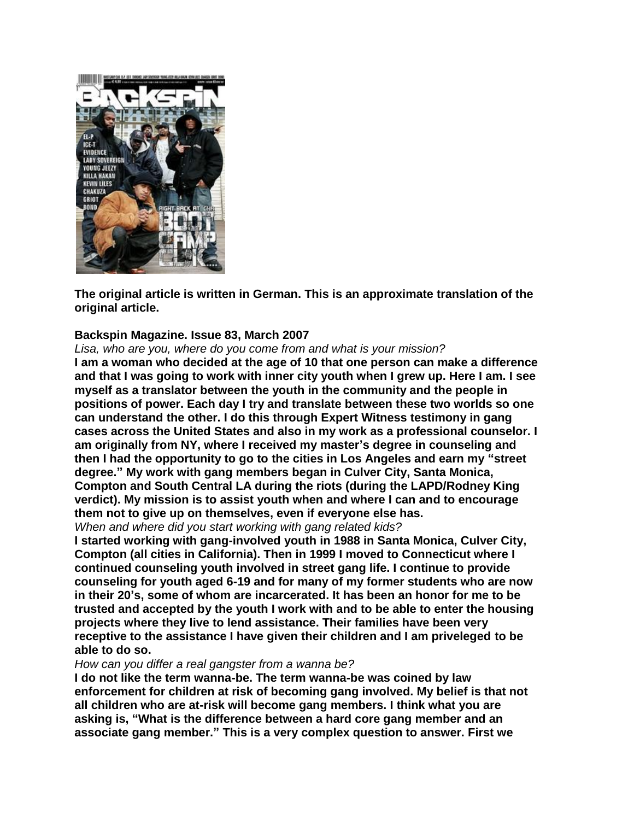

**The original article is written in German. This is an approximate translation of the original article.**

## **Backspin Magazine. Issue 83, March 2007**

*Lisa, who are you, where do you come from and what is your mission?*

**I am a woman who decided at the age of 10 that one person can make a difference and that I was going to work with inner city youth when I grew up. Here I am. I see myself as a translator between the youth in the community and the people in positions of power. Each day I try and translate between these two worlds so one can understand the other. I do this through Expert Witness testimony in gang cases across the United States and also in my work as a professional counselor. I am originally from NY, where I received my master"s degree in counseling and then I had the opportunity to go to the cities in Los Angeles and earn my "street degree." My work with gang members began in Culver City, Santa Monica, Compton and South Central LA during the riots (during the LAPD/Rodney King verdict). My mission is to assist youth when and where I can and to encourage them not to give up on themselves, even if everyone else has.**

*When and where did you start working with gang related kids?*

**I started working with gang-involved youth in 1988 in Santa Monica, Culver City, Compton (all cities in California). Then in 1999 I moved to Connecticut where I continued counseling youth involved in street gang life. I continue to provide counseling for youth aged 6-19 and for many of my former students who are now in their 20"s, some of whom are incarcerated. It has been an honor for me to be trusted and accepted by the youth I work with and to be able to enter the housing projects where they live to lend assistance. Their families have been very receptive to the assistance I have given their children and I am priveleged to be able to do so.**

*How can you differ a real gangster from a wanna be?*

**I do not like the term wanna-be. The term wanna-be was coined by law enforcement for children at risk of becoming gang involved. My belief is that not all children who are at-risk will become gang members. I think what you are asking is, "What is the difference between a hard core gang member and an associate gang member." This is a very complex question to answer. First we**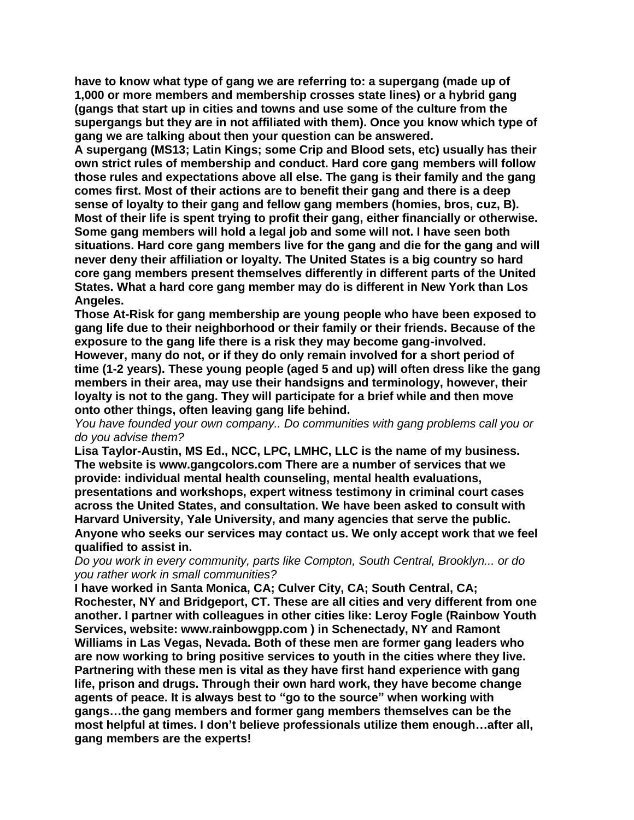**have to know what type of gang we are referring to: a supergang (made up of 1,000 or more members and membership crosses state lines) or a hybrid gang (gangs that start up in cities and towns and use some of the culture from the supergangs but they are in not affiliated with them). Once you know which type of gang we are talking about then your question can be answered.**

**A supergang (MS13; Latin Kings; some Crip and Blood sets, etc) usually has their own strict rules of membership and conduct. Hard core gang members will follow those rules and expectations above all else. The gang is their family and the gang comes first. Most of their actions are to benefit their gang and there is a deep sense of loyalty to their gang and fellow gang members (homies, bros, cuz, B). Most of their life is spent trying to profit their gang, either financially or otherwise. Some gang members will hold a legal job and some will not. I have seen both situations. Hard core gang members live for the gang and die for the gang and will never deny their affiliation or loyalty. The United States is a big country so hard core gang members present themselves differently in different parts of the United States. What a hard core gang member may do is different in New York than Los Angeles.**

**Those At-Risk for gang membership are young people who have been exposed to gang life due to their neighborhood or their family or their friends. Because of the exposure to the gang life there is a risk they may become gang-involved.**

**However, many do not, or if they do only remain involved for a short period of time (1-2 years). These young people (aged 5 and up) will often dress like the gang members in their area, may use their handsigns and terminology, however, their loyalty is not to the gang. They will participate for a brief while and then move onto other things, often leaving gang life behind.**

*You have founded your own company.. Do communities with gang problems call you or do you advise them?*

**Lisa Taylor-Austin, MS Ed., NCC, LPC, LMHC, LLC is the name of my business. The website is www.gangcolors.com There are a number of services that we provide: individual mental health counseling, mental health evaluations, presentations and workshops, expert witness testimony in criminal court cases across the United States, and consultation. We have been asked to consult with Harvard University, Yale University, and many agencies that serve the public. Anyone who seeks our services may contact us. We only accept work that we feel qualified to assist in.**

*Do you work in every community, parts like Compton, South Central, Brooklyn... or do you rather work in small communities?*

**I have worked in Santa Monica, CA; Culver City, CA; South Central, CA; Rochester, NY and Bridgeport, CT. These are all cities and very different from one another. I partner with colleagues in other cities like: Leroy Fogle (Rainbow Youth Services, website: www.rainbowgpp.com ) in Schenectady, NY and Ramont Williams in Las Vegas, Nevada. Both of these men are former gang leaders who are now working to bring positive services to youth in the cities where they live. Partnering with these men is vital as they have first hand experience with gang life, prison and drugs. Through their own hard work, they have become change agents of peace. It is always best to "go to the source" when working with gangs…the gang members and former gang members themselves can be the most helpful at times. I don"t believe professionals utilize them enough…after all, gang members are the experts!**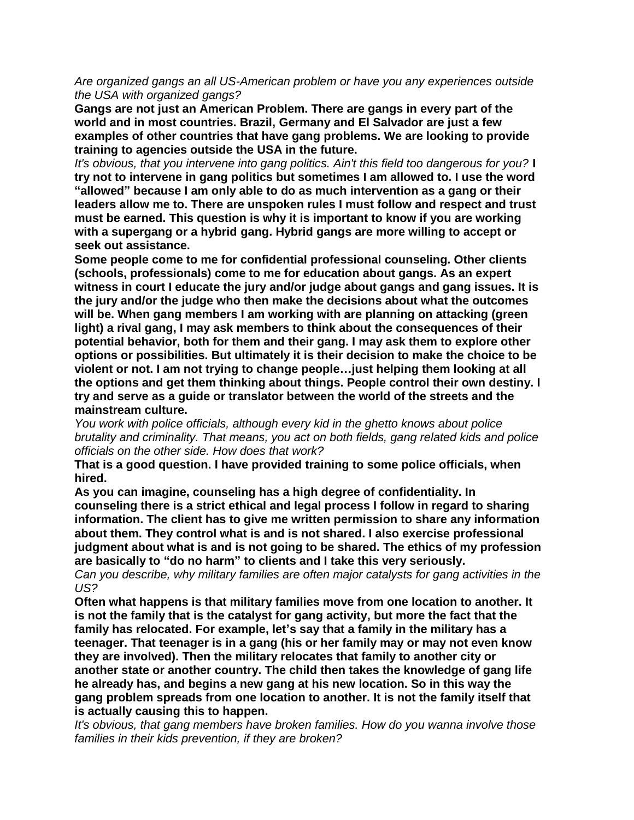*Are organized gangs an all US-American problem or have you any experiences outside the USA with organized gangs?*

**Gangs are not just an American Problem. There are gangs in every part of the world and in most countries. Brazil, Germany and El Salvador are just a few examples of other countries that have gang problems. We are looking to provide training to agencies outside the USA in the future.**

*It's obvious, that you intervene into gang politics. Ain't this field too dangerous for you?* **I try not to intervene in gang politics but sometimes I am allowed to. I use the word "allowed" because I am only able to do as much intervention as a gang or their leaders allow me to. There are unspoken rules I must follow and respect and trust must be earned. This question is why it is important to know if you are working with a supergang or a hybrid gang. Hybrid gangs are more willing to accept or seek out assistance.**

**Some people come to me for confidential professional counseling. Other clients (schools, professionals) come to me for education about gangs. As an expert witness in court I educate the jury and/or judge about gangs and gang issues. It is the jury and/or the judge who then make the decisions about what the outcomes will be. When gang members I am working with are planning on attacking (green light) a rival gang, I may ask members to think about the consequences of their potential behavior, both for them and their gang. I may ask them to explore other options or possibilities. But ultimately it is their decision to make the choice to be violent or not. I am not trying to change people…just helping them looking at all the options and get them thinking about things. People control their own destiny. I try and serve as a guide or translator between the world of the streets and the mainstream culture.**

*You work with police officials, although every kid in the ghetto knows about police brutality and criminality. That means, you act on both fields, gang related kids and police officials on the other side. How does that work?*

**That is a good question. I have provided training to some police officials, when hired.**

**As you can imagine, counseling has a high degree of confidentiality. In counseling there is a strict ethical and legal process I follow in regard to sharing information. The client has to give me written permission to share any information about them. They control what is and is not shared. I also exercise professional judgment about what is and is not going to be shared. The ethics of my profession are basically to "do no harm" to clients and I take this very seriously.**

*Can you describe, why military families are often major catalysts for gang activities in the US?*

**Often what happens is that military families move from one location to another. It is not the family that is the catalyst for gang activity, but more the fact that the family has relocated. For example, let"s say that a family in the military has a teenager. That teenager is in a gang (his or her family may or may not even know they are involved). Then the military relocates that family to another city or another state or another country. The child then takes the knowledge of gang life he already has, and begins a new gang at his new location. So in this way the gang problem spreads from one location to another. It is not the family itself that is actually causing this to happen.**

*It's obvious, that gang members have broken families. How do you wanna involve those families in their kids prevention, if they are broken?*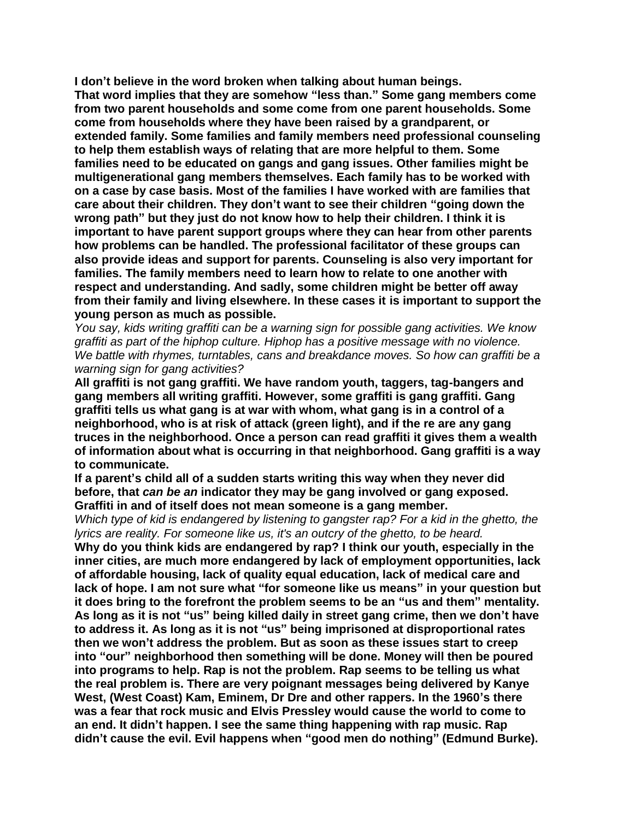**I don"t believe in the word broken when talking about human beings. That word implies that they are somehow "less than." Some gang members come from two parent households and some come from one parent households. Some come from households where they have been raised by a grandparent, or extended family. Some families and family members need professional counseling to help them establish ways of relating that are more helpful to them. Some families need to be educated on gangs and gang issues. Other families might be multigenerational gang members themselves. Each family has to be worked with on a case by case basis. Most of the families I have worked with are families that care about their children. They don"t want to see their children "going down the wrong path" but they just do not know how to help their children. I think it is important to have parent support groups where they can hear from other parents how problems can be handled. The professional facilitator of these groups can also provide ideas and support for parents. Counseling is also very important for families. The family members need to learn how to relate to one another with respect and understanding. And sadly, some children might be better off away from their family and living elsewhere. In these cases it is important to support the young person as much as possible.**

*You say, kids writing graffiti can be a warning sign for possible gang activities. We know graffiti as part of the hiphop culture. Hiphop has a positive message with no violence. We battle with rhymes, turntables, cans and breakdance moves. So how can graffiti be a warning sign for gang activities?*

**All graffiti is not gang graffiti. We have random youth, taggers, tag-bangers and gang members all writing graffiti. However, some graffiti is gang graffiti. Gang graffiti tells us what gang is at war with whom, what gang is in a control of a neighborhood, who is at risk of attack (green light), and if the re are any gang truces in the neighborhood. Once a person can read graffiti it gives them a wealth of information about what is occurring in that neighborhood. Gang graffiti is a way to communicate.**

**If a parent"s child all of a sudden starts writing this way when they never did before, that** *can be an* **indicator they may be gang involved or gang exposed. Graffiti in and of itself does not mean someone is a gang member.**

*Which type of kid is endangered by listening to gangster rap? For a kid in the ghetto, the lyrics are reality. For someone like us, it's an outcry of the ghetto, to be heard.*

**Why do you think kids are endangered by rap? I think our youth, especially in the inner cities, are much more endangered by lack of employment opportunities, lack of affordable housing, lack of quality equal education, lack of medical care and lack of hope. I am not sure what "for someone like us means" in your question but it does bring to the forefront the problem seems to be an "us and them" mentality. As long as it is not "us" being killed daily in street gang crime, then we don"t have to address it. As long as it is not "us" being imprisoned at disproportional rates then we won"t address the problem. But as soon as these issues start to creep into "our" neighborhood then something will be done. Money will then be poured into programs to help. Rap is not the problem. Rap seems to be telling us what the real problem is. There are very poignant messages being delivered by Kanye West, (West Coast) Kam, Eminem, Dr Dre and other rappers. In the 1960"s there was a fear that rock music and Elvis Pressley would cause the world to come to an end. It didn"t happen. I see the same thing happening with rap music. Rap didn"t cause the evil. Evil happens when "good men do nothing" (Edmund Burke).**